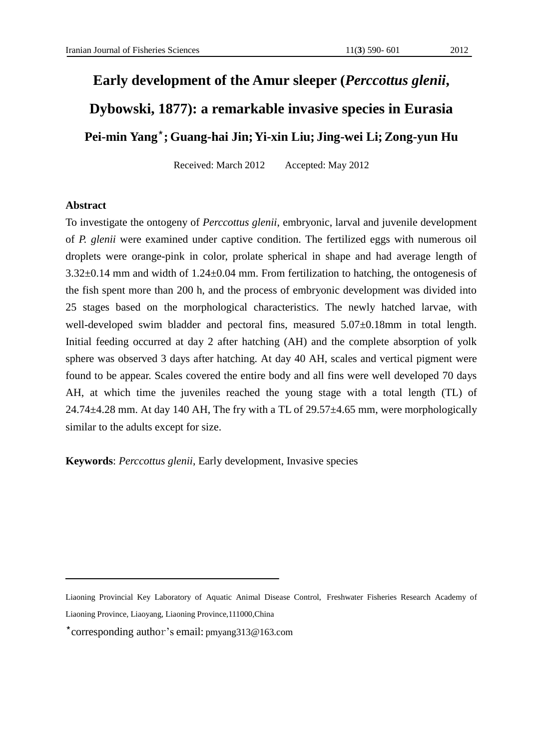# **Early development of the Amur sleeper (***Perccottus glenii***,**

## **Dybowski, 1877): a remarkable invasive species in Eurasia**

### **; Guang ai Jin; in Liu; Jing Li; Zong Pei-min Yang**\* **-h Yi-x -wei -yun Hu**

Received: March 2012 Accepted: May 2012

### **Abstract**

To investigate the ontogeny of *Perccottus glenii*, embryonic, larval and juvenile development of *P. glenii* were examined under captive condition. The fertilized eggs with numerous oil droplets were orange-pink in color, prolate spherical in shape and had average length of 3.32±0.14 mm and width of 1.24±0.04 mm. From fertilization to hatching, the ontogenesis of the fish spent more than 200 h, and the process of embryonic development was divided into 25 stages based on the morphological characteristics. The newly hatched larvae, with well-developed swim bladder and pectoral fins, measured  $5.07\pm0.18$ mm in total length. Initial feeding occurred at day 2 after hatching (AH) and the complete absorption of yolk sphere was observed 3 days after hatching. At day 40 AH, scales and vertical pigment were found to be appear. Scales covered the entire body and all fins were well developed 70 days AH, at which time the juveniles reached the young stage with a total length (TL) of  $24.74\pm4.28$  mm. At day 140 AH, The fry with a TL of  $29.57\pm4.65$  mm, were morphologically similar to the adults except for size.

**Keywords**: *Perccottus glenii*, Early development, Invasive species

Liaoning Provincial Key Laboratory of Aquatic Animal Disease Control, Freshwater Fisheries Research Academy of Liaoning Province, Liaoyang, Liaoning Province,111000,China

<sup>\*</sup>corresponding author's email: pmyang313@163.com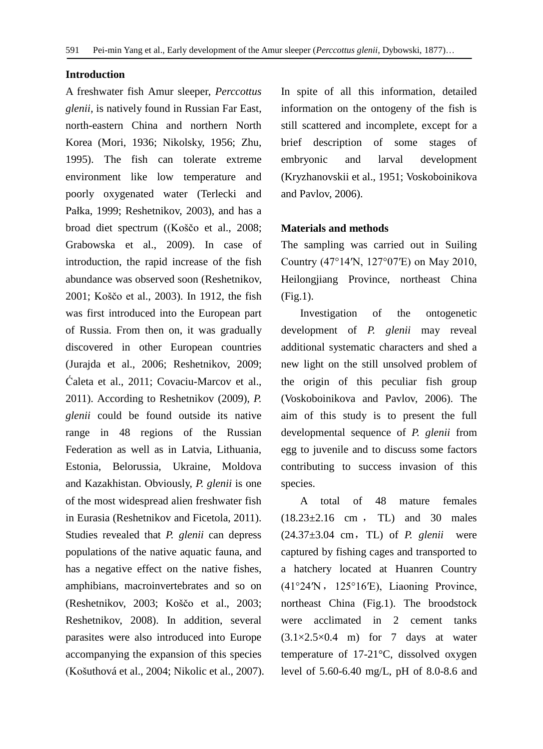#### **Introduction**

A freshwater fish Amur sleeper, *Perccottus glenii,* is natively found in Russian Far East, north-eastern China and northern North Korea (Mori, 1936; Nikolsky, 1956; Zhu, 1995). The fish can tolerate extreme environment like low temperature and poorly oxygenated water (Terlecki and Pałka, 1999; Reshetnikov, 2003), and has a broad diet spectrum ((Koščo et al., 2008; Grabowska et al., 2009). In case of introduction, the rapid increase of the fish abundance was observed soon (Reshetnikov, 2001; Koščo et al., 2003). In 1912, the fish was first introduced into the European part of Russia. From then on, it was gradually discovered in other European countries (Jurajda et al., 2006; Reshetnikov, 2009; Ćaleta et al., 2011; Covaciu-Marcov et al., 2011). According to Reshetnikov (2009), *P. glenii* could be found outside its native range in 48 regions of the Russian Federation as well as in Latvia, Lithuania, Estonia, Belorussia, Ukraine, Moldova and Kazakhistan. Obviously, *P. glenii* is one of the most widespread alien freshwater fish in Eurasia (Reshetnikov and Ficetola, 2011). Studies revealed that *P. glenii* can depress populations of the native aquatic fauna, and has a negative effect on the native fishes, amphibians, macroinvertebrates and so on (Reshetnikov, 2003; Koščo et al., 2003; Reshetnikov, 2008). In addition, several parasites were also introduced into Europe accompanying the expansion of this species (Košuthová et al., 2004; Nikolic et al., 2007). In spite of all this information, detailed information on the ontogeny of the fish is still scattered and incomplete, except for a brief description of some stages of embryonic and larval development (Kryzhanovskii et al., 1951; Voskoboinikova and Pavlov, 2006).

#### **Materials and methods**

The sampling was carried out in Suiling Country (47°14′N, 127°07′E) on May 2010, Heilongjiang Province, northeast China (Fig.1).

Investigation of the ontogenetic development of *P. glenii* may reveal additional systematic characters and shed a new light on the still unsolved problem of the origin of this peculiar fish group (Voskoboinikova and Pavlov, 2006). The aim of this study is to present the full developmental sequence of *P. glenii* from egg to juvenile and to discuss some factors contributing to success invasion of this species.

A total of 48 mature females  $(18.23 \pm 2.16 \text{ cm}, \text{T}$  males TL) and 30 males (24.37±3.04 cm,TL) of *P. glenii* were captured by fishing cages and transported to a hatchery located at Huanren Country  $(41°24'N, 125°16'E)$ , Liaoning Province, northeast China (Fig.1). The broodstock were acclimated in 2 cement tanks (3.1×2.5×0.4 m) for 7 days at water temperature of 17-21°C, dissolved oxygen level of 5.60-6.40 mg/L, pH of 8.0-8.6 and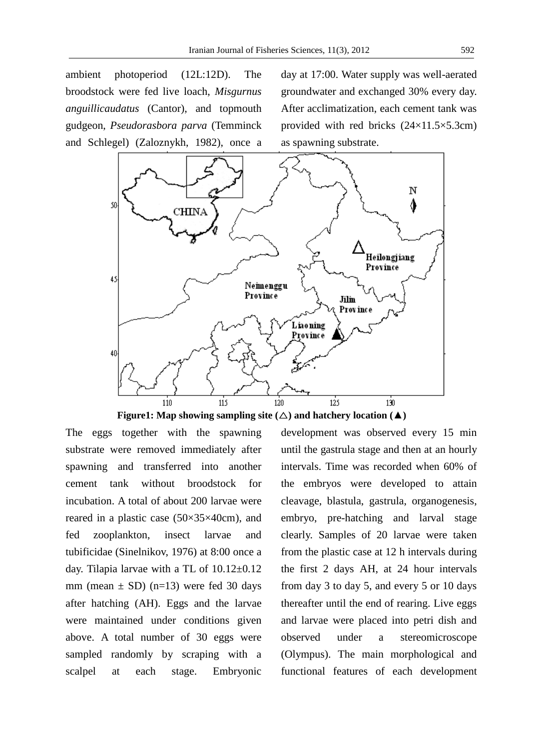ambient photoperiod (12L:12D). The broodstock were fed live loach, *Misgurnus anguillicaudatus* (Cantor), and topmouth gudgeon, *Pseudorasbora parva* (Temminck and Schlegel) (Zaloznykh, 1982), once a

day at 17:00. Water supply was well-aerated groundwater and exchanged 30% every day. After acclimatization, each cement tank was provided with red bricks (24×11.5×5.3cm) as spawning substrate.



**Figure1:** Map showing sampling site  $(\triangle)$  and hatchery location  $(\triangle)$ 

The eggs together with the spawning substrate were removed immediately after spawning and transferred into another cement tank without broodstock for incubation. A total of about 200 larvae were reared in a plastic case (50×35×40cm), and fed zooplankton, insect larvae and tubificidae (Sinelnikov, 1976) at 8:00 once a day. Tilapia larvae with a TL of  $10.12 \pm 0.12$ mm (mean  $\pm$  SD) (n=13) were fed 30 days after hatching (AH). Eggs and the larvae were maintained under conditions given above. A total number of 30 eggs were sampled randomly by scraping with a scalpel at each stage. Embryonic development was observed every 15 min until the gastrula stage and then at an hourly intervals. Time was recorded when 60% of the embryos were developed to attain cleavage, blastula, gastrula, organogenesis, embryo, pre-hatching and larval stage clearly. Samples of 20 larvae were taken from the plastic case at 12 h intervals during the first 2 days AH, at 24 hour intervals from day 3 to day 5, and every 5 or 10 days thereafter until the end of rearing. Live eggs and larvae were placed into petri dish and observed under a stereomicroscope (Olympus). The main morphological and functional features of each development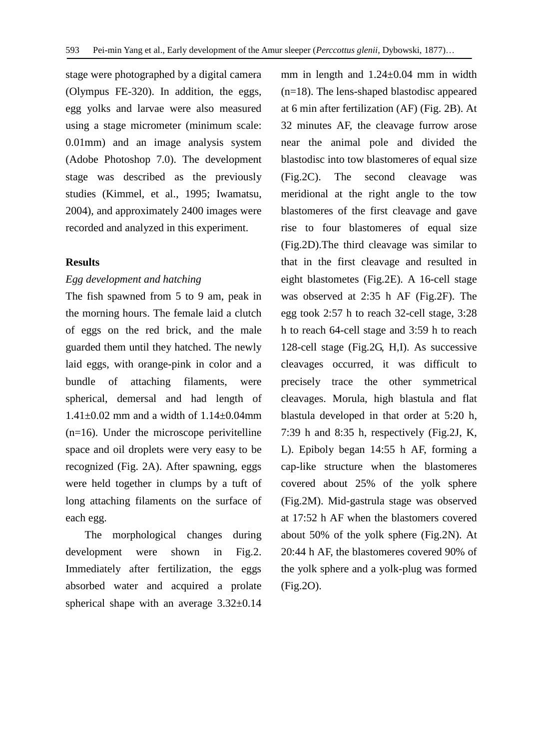stage were photographed by a digital camera (Olympus FE-320). In addition, the eggs, egg yolks and larvae were also measured using a stage micrometer (minimum scale: 0.01mm) and an image analysis system (Adobe Photoshop 7.0). The development stage was described as the previously studies (Kimmel, et al., 1995; Iwamatsu, 2004), and approximately 2400 images were recorded and analyzed in this experiment.

#### **Results**

#### *Egg development and hatching*

The fish spawned from 5 to 9 am, peak in the morning hours. The female laid a clutch of eggs on the red brick, and the male guarded them until they hatched. The newly laid eggs, with orange-pink in color and a bundle of attaching filaments, were spherical, demersal and had length of  $1.41\pm0.02$  mm and a width of  $1.14\pm0.04$ mm (n=16). Under the microscope perivitelline space and oil droplets were very easy to be recognized (Fig. 2A). After spawning, eggs were held together in clumps by a tuft of long attaching filaments on the surface of each egg.

The morphological changes during development were shown in Fig.2. Immediately after fertilization, the eggs absorbed water and acquired a prolate spherical shape with an average 3.32±0.14 mm in length and 1.24±0.04 mm in width (n=18). The lens-shaped blastodisc appeared at 6 min after fertilization (AF) (Fig. 2B). At 32 minutes AF, the cleavage furrow arose near the animal pole and divided the blastodisc into tow blastomeres of equal size (Fig.2C). The second cleavage was meridional at the right angle to the tow blastomeres of the first cleavage and gave rise to four blastomeres of equal size (Fig.2D).The third cleavage was similar to that in the first cleavage and resulted in eight blastometes (Fig.2E). A 16-cell stage was observed at 2:35 h AF (Fig.2F). The egg took 2:57 h to reach 32-cell stage, 3:28 h to reach 64-cell stage and 3:59 h to reach 128-cell stage (Fig.2G, H,I). As successive cleavages occurred, it was difficult to precisely trace the other symmetrical cleavages. Morula, high blastula and flat blastula developed in that order at 5:20 h, 7:39 h and 8:35 h, respectively (Fig.2J, K, L). Epiboly began 14:55 h AF, forming a cap-like structure when the blastomeres covered about 25% of the yolk sphere (Fig.2M). Mid-gastrula stage was observed at 17:52 h AF when the blastomers covered about 50% of the yolk sphere (Fig.2N). At 20:44 h AF, the blastomeres covered 90% of the yolk sphere and a yolk-plug was formed (Fig.2O).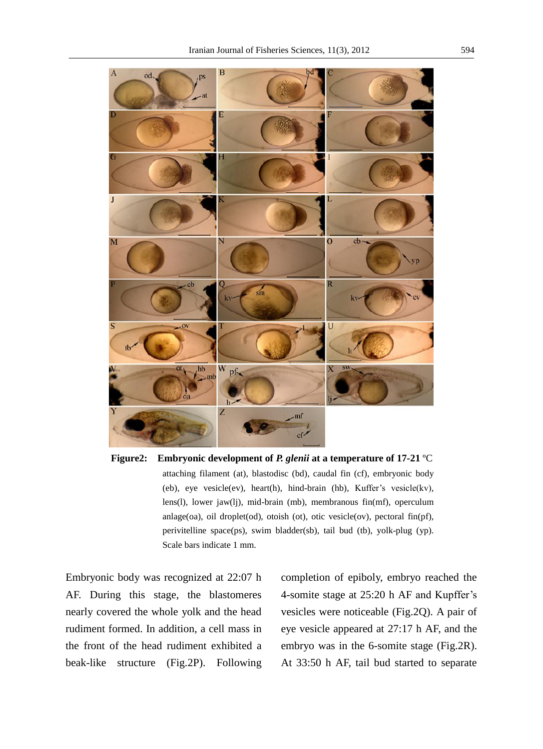



Embryonic body was recognized at 22:07 h AF. During this stage, the blastomeres nearly covered the whole yolk and the head rudiment formed. In addition, a cell mass in the front of the head rudiment exhibited a beak-like structure (Fig.2P). Following completion of epiboly, embryo reached the 4-somite stage at 25:20 h AF and Kupffer's vesicles were noticeable (Fig.2Q). A pair of eye vesicle appeared at 27:17 h AF, and the embryo was in the 6-somite stage (Fig.2R). At 33:50 h AF, tail bud started to separate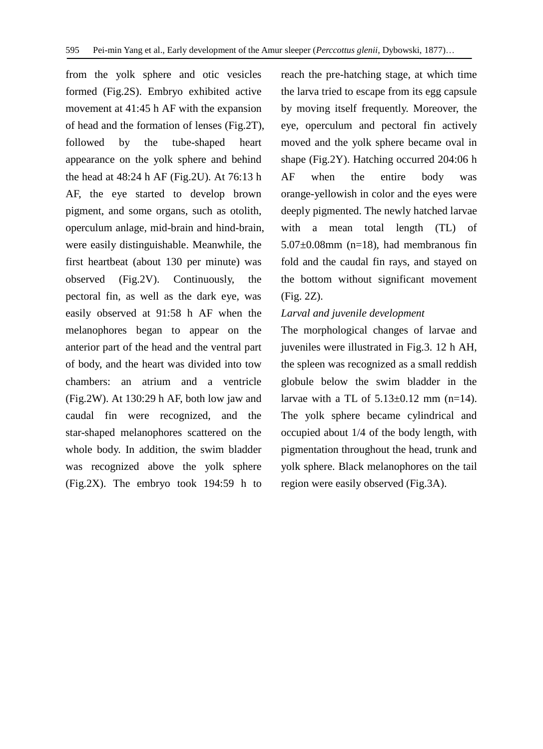from the yolk sphere and otic vesicles formed (Fig.2S). Embryo exhibited active movement at 41:45 h AF with the expansion of head and the formation of lenses (Fig.2T), followed by the tube-shaped heart appearance on the yolk sphere and behind the head at 48:24 h AF (Fig.2U). At 76:13 h AF, the eye started to develop brown pigment, and some organs, such as otolith, operculum anlage, mid-brain and hind-brain, were easily distinguishable. Meanwhile, the first heartbeat (about 130 per minute) was observed (Fig.2V). Continuously, the pectoral fin, as well as the dark eye, was easily observed at 91:58 h AF when the melanophores began to appear on the anterior part of the head and the ventral part of body, and the heart was divided into tow chambers: an atrium and a ventricle (Fig.2W). At 130:29 h AF, both low jaw and caudal fin were recognized, and the star-shaped melanophores scattered on the whole body. In addition, the swim bladder was recognized above the yolk sphere (Fig.2X). The embryo took 194:59 h to

reach the pre-hatching stage, at which time the larva tried to escape from its egg capsule by moving itself frequently. Moreover, the eye, operculum and pectoral fin actively moved and the yolk sphere became oval in shape (Fig.2Y). Hatching occurred 204:06 h AF when the entire body was orange-yellowish in color and the eyes were deeply pigmented. The newly hatched larvae with a mean total length (TL) of 5.07±0.08mm (n=18), had membranous fin fold and the caudal fin rays, and stayed on the bottom without significant movement (Fig. 2Z).

#### *Larval and juvenile development*

The morphological changes of larvae and juveniles were illustrated in Fig.3. 12 h AH, the spleen was recognized as a small reddish globule below the swim bladder in the larvae with a TL of  $5.13\pm0.12$  mm (n=14). The yolk sphere became cylindrical and occupied about 1/4 of the body length, with pigmentation throughout the head, trunk and yolk sphere. Black melanophores on the tail region were easily observed (Fig.3A).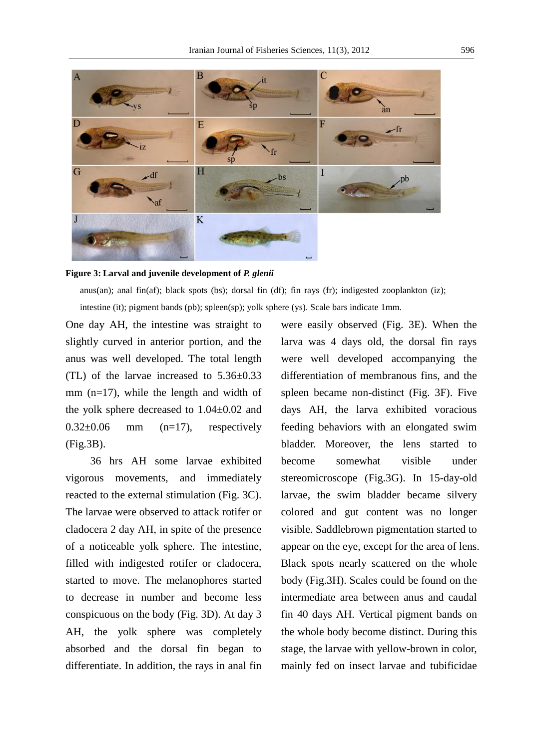

#### **3: Figure Larval and juvenile development of** *P. glenii*

anus(an); anal fin(af); black spots (bs); dorsal fin (df); fin rays (fr); indigested zooplankton (iz); intestine (it); pigment bands (pb); spleen(sp); yolk sphere (ys). Scale bars indicate 1mm.

One day AH, the intestine was straight to slightly curved in anterior portion, and the anus was well developed. The total length (TL) of the larvae increased to 5.36±0.33 mm (n=17), while the length and width of the yolk sphere decreased to 1.04±0.02 and  $0.32\pm0.06$  mm  $(n=17)$ , respectively (Fig.3B).

36 hrs AH some larvae exhibited vigorous movements, and immediately reacted to the external stimulation (Fig. 3C). The larvae were observed to attack rotifer or cladocera 2 day AH, in spite of the presence of a noticeable yolk sphere. The intestine, filled with indigested rotifer or cladocera, started to move. The melanophores started to decrease in number and become less conspicuous on the body (Fig. 3D). At day 3 AH, the yolk sphere was completely absorbed and the dorsal fin began to differentiate. In addition, the rays in anal fin were easily observed (Fig. 3E). When the larva was 4 days old, the dorsal fin rays were well developed accompanying the differentiation of membranous fins, and the spleen became non-distinct (Fig. 3F). Five days AH, the larva exhibited voracious feeding behaviors with an elongated swim bladder. Moreover, the lens started to become somewhat visible under stereomicroscope (Fig.3G). In 15-day-old larvae, the swim bladder became silvery colored and gut content was no longer visible. Saddlebrown pigmentation started to appear on the eye, except for the area of lens. Black spots nearly scattered on the whole body (Fig.3H). Scales could be found on the intermediate area between anus and caudal fin 40 days AH. Vertical pigment bands on the whole body become distinct. During this stage, the larvae with yellow-brown in color, mainly fed on insect larvae and tubificidae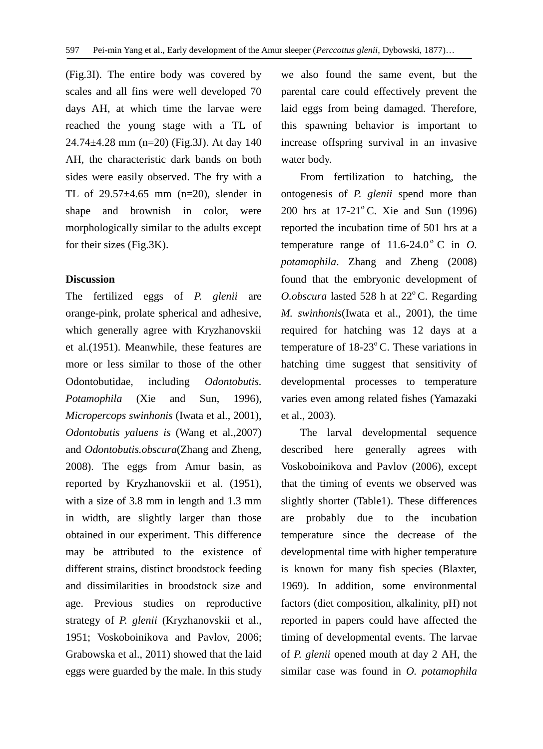(Fig.3I). The entire body was covered by scales and all fins were well developed 70 days AH, at which time the larvae were reached the young stage with a TL of 24.74±4.28 mm (n=20) (Fig.3J). At day 140 AH, the characteristic dark bands on both sides were easily observed. The fry with a TL of 29.57±4.65 mm (n=20), slender in shape and brownish in color, were morphologically similar to the adults except for their sizes (Fig.3K).

#### **Discussion**

The fertilized eggs of *P. glenii* are orange-pink, prolate spherical and adhesive, which generally agree with Kryzhanovskii et al.(1951). Meanwhile, these features are more or less similar to those of the other Odontobutidae*,* including *Odontobutis. Potamophila* (Xie and Sun, 1996), *Micropercops swinhonis* (Iwata et al., 2001), *Odontobutis yaluens is* (Wang et al.,2007) and *Odontobutis.obscura*(Zhang and Zheng, 2008). The eggs from Amur basin, as reported by Kryzhanovskii et al. (1951), with a size of 3.8 mm in length and 1.3 mm in width, are slightly larger than those obtained in our experiment. This difference may be attributed to the existence of different strains, distinct broodstock feeding and dissimilarities in broodstock size and age. Previous studies on reproductive strategy of *P. glenii* (Kryzhanovskii et al., 1951; Voskoboinikova and Pavlov, 2006; Grabowska et al., 2011) showed that the laid eggs were guarded by the male. In this study we also found the same event, but the parental care could effectively prevent the laid eggs from being damaged. Therefore, this spawning behavior is important to increase offspring survival in an invasive water body.

From fertilization to hatching, the ontogenesis of *P. glenii* spend more than 200 hrs at 17-21ºC. Xie and Sun (1996) reported the incubation time of 501 hrs at a temperature range of  $11.6-24.0$  ° C in O. *potamophila*. Zhang and Zheng (2008) found that the embryonic development of *O.obscura* lasted 528 h at 22ºC. Regarding *M. swinhonis*(Iwata et al., 2001), the time required for hatching was 12 days at a temperature of 18-23ºC. These variations in hatching time suggest that sensitivity of developmental processes to temperature varies even among related fishes (Yamazaki et al., 2003).

The larval developmental sequence described here generally agrees with Voskoboinikova and Pavlov (2006), except that the timing of events we observed was slightly shorter (Table1). These differences are probably due to the incubation temperature since the decrease of the developmental time with higher temperature is known for many fish species (Blaxter, 1969). In addition, some environmental factors (diet composition, alkalinity, pH) not reported in papers could have affected the timing of developmental events. The larvae of *P. glenii* opened mouth at day 2 AH, the similar case was found in *O. potamophila*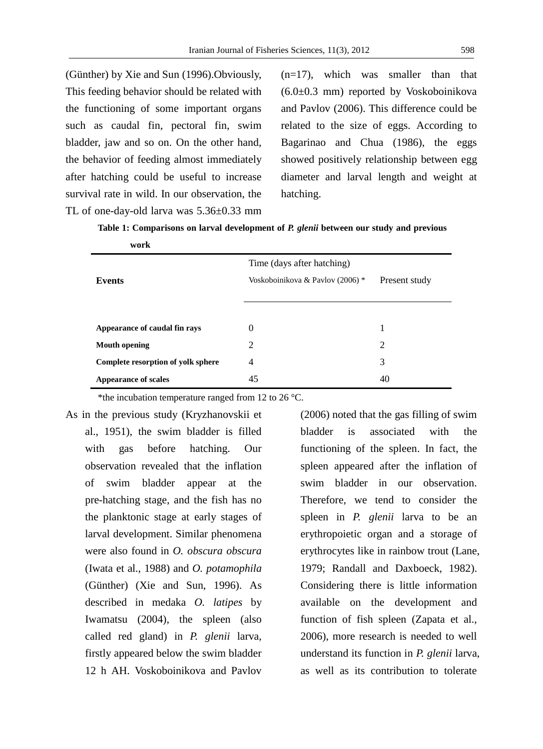(Günther) by Xie and Sun (1996).Obviously, This feeding behavior should be related with the functioning of some important organs such as caudal fin, pectoral fin, swim bladder, jaw and so on. On the other hand, the behavior of feeding almost immediately after hatching could be useful to increase survival rate in wild. In our observation, the TL of one-day-old larva was 5.36±0.33 mm (n=17), which was smaller than that (6.0±0.3 mm) reported by Voskoboinikova and Pavlov (2006). This difference could be related to the size of eggs. According to Bagarinao and Chua (1986), the eggs showed positively relationship between egg diameter and larval length and weight at hatching.

**Table 1: Comparisons on larval development of** *P. glenii* **between our study and previous** 

| work                               |                                  |               |
|------------------------------------|----------------------------------|---------------|
|                                    | Time (days after hatching)       |               |
| <b>Events</b>                      | Voskoboinikova & Pavlov (2006) * | Present study |
|                                    |                                  |               |
|                                    |                                  |               |
| Appearance of caudal fin rays      | $\Omega$                         | 1             |
| <b>Mouth opening</b>               | 2                                | 2             |
| Complete resorption of yolk sphere | 4                                | 3             |
| <b>Appearance of scales</b>        | 45                               | 40            |

\*the incubation temperature ranged from 12 to 26  $^{\circ}$ C.

As in the previous study (Kryzhanovskii et al., 1951), the swim bladder is filled with gas before hatching. Our observation revealed that the inflation of swim bladder appear at the pre-hatching stage, and the fish has no the planktonic stage at early stages of larval development. Similar phenomena were also found in *O. obscura obscura*  (Iwata et al., 1988) and *O. potamophila*  (Günther) (Xie and Sun, 1996). As described in medaka *O. latipes* by Iwamatsu (2004), the spleen (also called red gland) in *P. glenii* larva, firstly appeared below the swim bladder 12 h AH. Voskoboinikova and Pavlov

(2006) noted that the gas filling of swim bladder is associated with the functioning of the spleen. In fact, the spleen appeared after the inflation of swim bladder in our observation. Therefore, we tend to consider the spleen in *P. glenii* larva to be an erythropoietic organ and a storage of erythrocytes like in rainbow trout (Lane, 1979; Randall and Daxboeck, 1982). Considering there is little information available on the development and function of fish spleen (Zapata et al., 2006), more research is needed to well understand its function in *P. glenii* larva, as well as its contribution to tolerate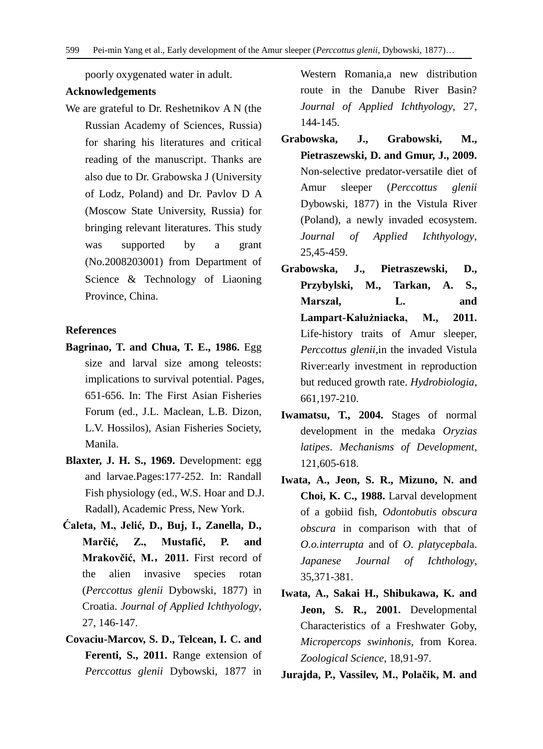poorly oxygenated water in adult.

### **Acknowledgements**

We are grateful to Dr. Reshetnikov A N (the Russian Academy of Sciences, Russia) for sharing his literatures and critical reading of the manuscript. Thanks are also due to Dr. Grabowska J (University of Lodz, Poland) and Dr. Pavlov D A (Moscow State University, Russia) for bringing relevant literatures. This study was supported by a grant (No.2008203001) from Department of Science & Technology of Liaoning Province, China.

#### **References**

- **Bagrinao, T. and Chua, T. E., 1986.** Egg size and larval size among teleosts: implications to survival potential. Pages, 651-656. In: The First Asian Fisheries Forum (ed., J.L. Maclean, L.B. Dizon, L.V. Hossilos), Asian Fisheries Society, Manila.
- **Blaxter, J. H. S., 1969.** Development: egg and larvae.Pages:177-252. In: Randall Fish physiology (ed., W.S. Hoar and D.J. Radall), Academic Press, New York.
- **Ćaleta, M., Jelić, D., Buj, I., Zanella, D., Marčić, Z., Mustafić, P. and Mrakovčić, M.**,**2011.** First record of the alien invasive species rotan (*Perccottus glenii* Dybowski, 1877) in Croatia. *Journal of Applied Ichthyology*, 27, 146-147.
- **Covaciu-Marcov, S. D., Telcean, I. C. and Ferenti, S., 2011.** Range extension of *Perccottus glenii* Dybowski, 1877 in

Western Romania,a new distribution route in the Danube River Basin? *Journal of Applied Ichthyology*, 27, 144-145.

- **Grabowska, J., Grabowski, M., Pietraszewski, D. and Gmur, J., 2009.** Non-selective predator-versatile diet of Amur sleeper (*Perccottus glenii* Dybowski, 1877) in the Vistula River (Poland), a newly invaded ecosystem. *Journal of Applied Ichthyology*, 25,45-459.
- **Grabowska, J., Pietraszewski, D., Przybylski, M., Tarkan, A. S., Marszał, L. and Lampart-Kałużniacka, M., 2011.** Life-history traits of Amur sleeper, *Perccottus glenii*,in the invaded Vistula River:early investment in reproduction but reduced growth rate. *Hydrobiologia*, 661,197-210.
- **Iwamatsu, T., 2004.** Stages of normal development in the medaka *Oryzias latipes*. *Mechanisms of Development*, 121,605-618.
- **Iwata, A., Jeon, S. R., Mizuno, N. and Choi, K. C., 1988.** Larval development of a gobiid fish, *Odontobutis obscura obscura* in comparison with that of *O.o.interrupta* and of *O. platycepbal*a. *Japanese Journal of Ichthology*, 35,371-381.
- **Iwata, A., Sakai H., Shibukawa, K. and Jeon, S. R., 2001.** Developmental Characteristics of a Freshwater Goby, *Micropercops swinhonis,* from Korea. *Zoological Science*, 18,91-97.

**Jurajda, P., Vassilev, M., Polačik, M. and**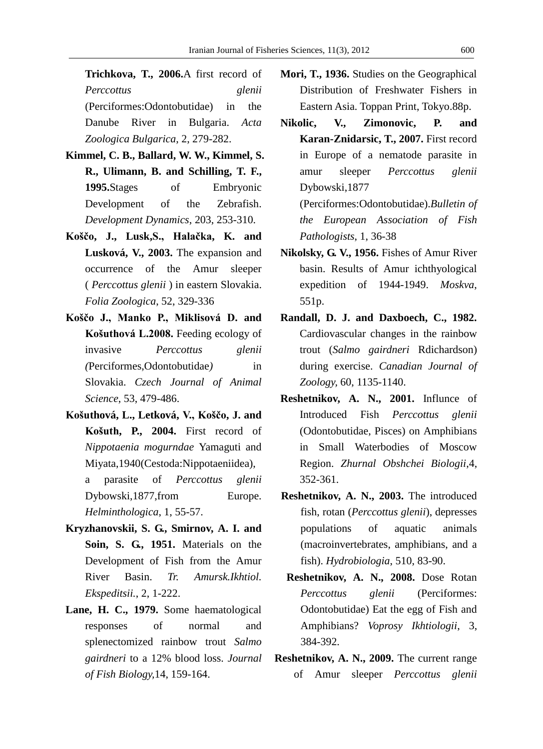**Trichkova, T., 2006.**A first record of *Perccottus glenii*  (Perciformes:Odontobutidae) in the Danube River in Bulgaria. *Acta Zoologica Bulgarica*, 2, 279-282.

- **Kimmel, C. B., Ballard, W. W., Kimmel, S. R., Ulimann, B. and Schilling, T. F., 1995.**Stages of Embryonic Development of the Zebrafish. *Development Dynamics*, 203, 253-310.
- **Koščo, J., Lusk,S., Halačka, K. and Lusková, V., 2003.** The expansion and occurrence of the Amur sleeper ( *Perccottus glenii* ) in eastern Slovakia. *Folia Zoologica*, 52, 329-336
- **Koščo J., Manko P., Miklisová D. and Košuthová L.2008.** Feeding ecology of invasive *Perccottus glenii (*Perciformes,Odontobutidae*)* in Slovakia. *Czech Journal of Animal Science*, 53, 479-486.
- **Košuthová, L., Letková, V., Koščo, J. and Košuth, P., 2004.** First record of *Nippotaenia mogurndae* Yamaguti and Miyata,1940(Cestoda:Nippotaeniidea),

a parasite of *Perccottus glenii* Dybowski,1877,from Europe. *Helminthologica*, 1, 55-57.

- **Kryzhanovskii, S. G., Smirnov, A. I. and Soin, S. G., 1951.** Materials on the Development of Fish from the Amur River Basin. *Tr. Amursk.Ikhtiol. Ekspeditsii.*, 2, 1-222.
- **Lane, H. C., 1979.** Some haematological responses of normal and splenectomized rainbow trout *Salmo gairdneri* to a 12% blood loss. *Journal of Fish Biology,*14, 159-164.
- **Mori, T., 1936.** Studies on the Geographical Distribution of Freshwater Fishers in Eastern Asia. Toppan Print, Tokyo.88p.
- **Nikolic, V., Zimonovic, P. and Karan-Znidarsic, T., 2007.** First record in Europe of a nematode parasite in amur sleeper *Perccottus glenii* Dybowski,1877 (Perciformes:Odontobutidae).*Bulletin of the European Association of Fish Pathologists*, 1, 36-38
- **Nikolsky, G. V., 1956.** Fishes of Amur River basin. Results of Amur ichthyological expedition of 1944-1949. *Moskva*, 551p.
- **Randall, D. J. and Daxboech, C., 1982.**  Cardiovascular changes in the rainbow trout (*Salmo gairdneri* Rdichardson) during exercise. *Canadian Journal of Zoology,* 60, 1135-1140.
- **Reshetnikov, A. N., 2001.** Influnce of Introduced Fish *Perccottus glenii*  (Odontobutidae, Pisces) on Amphibians in Small Waterbodies of Moscow Region. *Zhurnal Obshchei Biologii*,4, 352-361.
- **Reshetnikov, A. N., 2003.** The introduced fish, rotan (*Perccottus glenii*), depresses populations of aquatic animals (macroinvertebrates, amphibians, and a fish). *Hydrobiologia*, 510, 83-90.
- **Reshetnikov, A. N., 2008.** Dose Rotan *Perccottus glenii* (Perciformes: Odontobutidae) Eat the egg of Fish and Amphibians? *Voprosy Ikhtiologii*, 3, 384-392.
- **Reshetnikov, A. N., 2009.** The current range of Amur sleeper *Perccottus glenii*